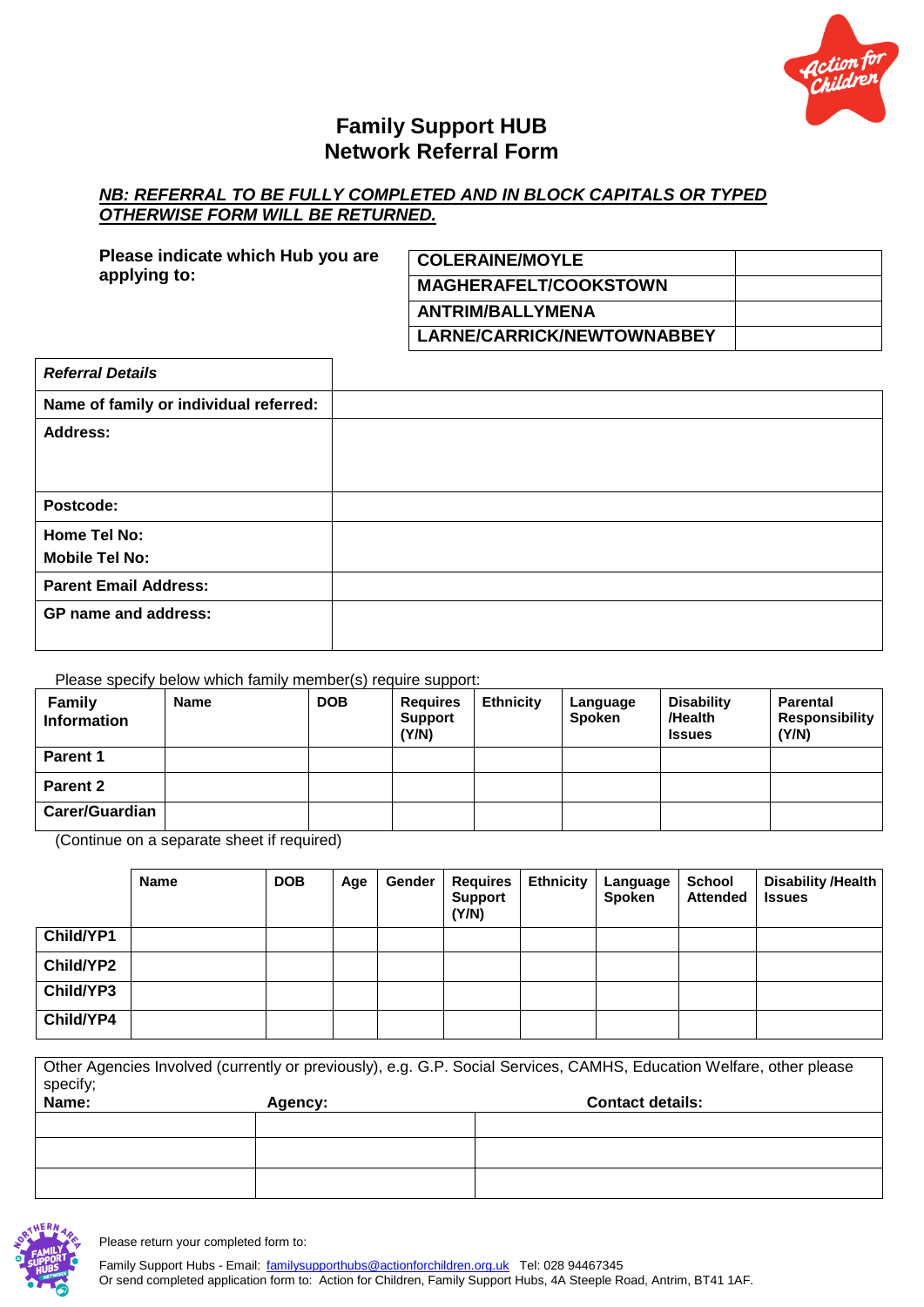

## **Family Support HUB Network Referral Form**

## **NB: REFERRAL TO BE FULLY COMPLETED AND IN BLOCK CAPITALS OR TYPED** *OTHERWISE FORM WILL BE RETURNED.*

| Please indicate which Hub you are | <b>COLERAINE/MOYLE</b>       |  |  |
|-----------------------------------|------------------------------|--|--|
| applying to:                      | <b>MAGHERAFELT/COOKSTOWN</b> |  |  |
|                                   | <b>ANTRIM/BALLYMENA</b>      |  |  |
|                                   | LARNE/CARRICK/NEWTOWNABBEY   |  |  |

| <b>Referral Details</b>                |  |
|----------------------------------------|--|
| Name of family or individual referred: |  |
| <b>Address:</b>                        |  |
|                                        |  |
|                                        |  |
| Postcode:                              |  |
| Home Tel No:                           |  |
| <b>Mobile Tel No:</b>                  |  |
| <b>Parent Email Address:</b>           |  |
| <b>GP</b> name and address:            |  |
|                                        |  |

## Please specify below which family member(s) require support:

| <b>Family</b><br><b>Information</b> | Name | <b>DOB</b> | <b>Requires</b><br><b>Support</b><br>(Y/N) | <b>Ethnicity</b> | Language<br><b>Spoken</b> | <b>Disability</b><br>/Health<br><b>Issues</b> | <b>Parental</b><br>Responsibility<br>(Y/N) |
|-------------------------------------|------|------------|--------------------------------------------|------------------|---------------------------|-----------------------------------------------|--------------------------------------------|
| <b>Parent 1</b>                     |      |            |                                            |                  |                           |                                               |                                            |
| Parent 2                            |      |            |                                            |                  |                           |                                               |                                            |
| <b>Carer/Guardian</b>               |      |            |                                            |                  |                           |                                               |                                            |

(Continue on a separate sheet if required)

|                  | <b>Name</b> | <b>DOB</b> | Age | Gender | <b>Requires</b><br><b>Support</b><br>(Y/N) | <b>Ethnicity</b> | Language<br>Spoken | School<br><b>Attended</b> | Disability /Health<br><b>Issues</b> |
|------------------|-------------|------------|-----|--------|--------------------------------------------|------------------|--------------------|---------------------------|-------------------------------------|
| Child/YP1        |             |            |     |        |                                            |                  |                    |                           |                                     |
| <b>Child/YP2</b> |             |            |     |        |                                            |                  |                    |                           |                                     |
| Child/YP3        |             |            |     |        |                                            |                  |                    |                           |                                     |
| Child/YP4        |             |            |     |        |                                            |                  |                    |                           |                                     |

Other Agencies Involved (currently or previously), e.g. G.P. Social Services, CAMHS, Education Welfare, other please specify;<br>Name: Agency: **Agency: Agency: Contact details:** 



Please return your completed form to:

Family Support Hubs - Email: [familysupporthubs@actionforchildren.org.uk](mailto:familysupporthubs@actionforchildren.org.uk) Tel: 028 94467345 Or send completed application form to: Action for Children, Family Support Hubs, 4A Steeple Road, Antrim, BT41 1AF.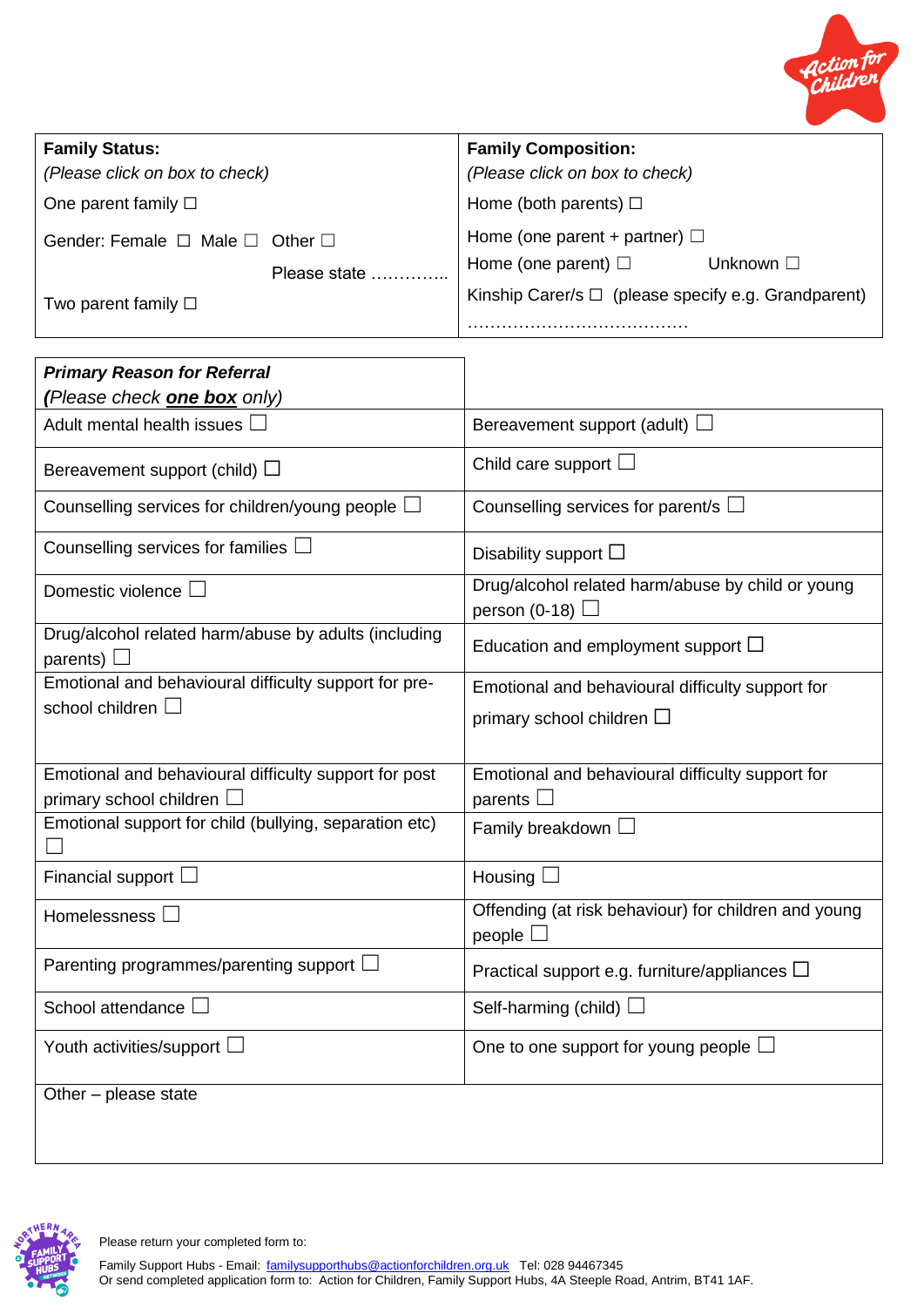

| <b>Family Status:</b>                          |              | <b>Family Composition:</b>                               |                |  |
|------------------------------------------------|--------------|----------------------------------------------------------|----------------|--|
| (Please click on box to check)                 |              | (Please click on box to check)                           |                |  |
| One parent family $\square$                    |              | Home (both parents) $\Box$                               |                |  |
| Gender: Female $\Box$ Male $\Box$ Other $\Box$ |              | Home (one parent + partner) $\Box$                       |                |  |
|                                                | Please state | Home (one parent) $\Box$                                 | Unknown $\Box$ |  |
| Two parent family $\square$                    |              | Kinship Carer/s $\Box$ (please specify e.g. Grandparent) |                |  |
|                                                |              |                                                          |                |  |

٦

| <b>Primary Reason for Referral</b>                                                 |                                                                                       |
|------------------------------------------------------------------------------------|---------------------------------------------------------------------------------------|
| (Please check one box only)                                                        |                                                                                       |
| Adult mental health issues [                                                       | Bereavement support (adult) $\square$                                                 |
| Bereavement support (child) $\square$                                              | Child care support $\square$                                                          |
| Counselling services for children/young people $\Box$                              | Counselling services for parent/s $\Box$                                              |
| Counselling services for families                                                  | Disability support $\square$                                                          |
| Domestic violence                                                                  | Drug/alcohol related harm/abuse by child or young<br>person (0-18) $\Box$             |
| Drug/alcohol related harm/abuse by adults (including<br>parents)                   | Education and employment support $\square$                                            |
| Emotional and behavioural difficulty support for pre-<br>school children $\Box$    | Emotional and behavioural difficulty support for<br>primary school children $\square$ |
| Emotional and behavioural difficulty support for post<br>primary school children L | Emotional and behavioural difficulty support for<br>parents $\square$                 |
| Emotional support for child (bullying, separation etc)                             | Family breakdown $\square$                                                            |
| Financial support $\Box$                                                           | Housing $\square$                                                                     |
| Homelessness [                                                                     | Offending (at risk behaviour) for children and young<br>people $\square$              |
| Parenting programmes/parenting support $\Box$                                      | Practical support e.g. furniture/appliances $\Box$                                    |
| School attendance                                                                  | Self-harming (child) $\Box$                                                           |
| Youth activities/support L                                                         | One to one support for young people $\square$                                         |
| Other - please state                                                               |                                                                                       |